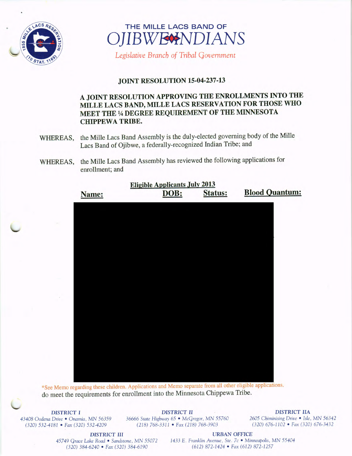

# $LAGS R_{E_0}$  THE MILLE LACS BAND OF **OJIBWECHNDIANS**

Legislative Branch of Tribal Government

## JOINT RESOLUTION 15-04-237-13

# A JOINT RESOLUTION APPROVING THE ENROLLMENTS INTO THE MILLE LACS BAND, MILLE LACS RESERVATION FOR THOSE WHO MEET THE % DEGREE REQUIREMENT OF THE MINNESOTA CHIPPEWA TRIBE.

- WHEREAS, the Mille Lacs Band Assembly is the duly-elected governing body of the Mille Lacs Band of Ojibwe, a federally-recognized Indian Tribe; and
- WHEREAS, the Mille Lacs Band Assembly has reviewed the following applications for enrollment; and

| Name: | <b>Eligible Applicants July 2013</b><br>DOB: | <b>Status:</b> | <b>Blood Quantum:</b> |
|-------|----------------------------------------------|----------------|-----------------------|
|       |                                              |                |                       |
|       |                                              |                |                       |
|       |                                              |                |                       |

45749 Grace Lake Road • Sandstone, MN 55072 1433 E. Franklin Avenue, Ste. 7c • Minneapolis, MN 55404 320) 384- 6240 • Fax ( 320) 384- 6190 612) 872- 1424 • Fax ( 612) 872- 1257

See Memo regarding these children. Applications and Memo separate from all other eligible applications. do meet the requirements for enrollment into the Minnesota Chippewa Tribe.

DISTRICT I DISTRICT II DISTRICT II

<sup>43408</sup> Oodena Drive • Onamia, MN <sup>56359</sup> <sup>36666</sup> State Highway 65 • McGregor, MN <sup>55760</sup> <sup>2605</sup> Chiminising Drive • Isle, MN <sup>56342</sup> 320) 532- 4181 • Fax ( 320) 532- 4209 218) 768- 3311 • Fax ( 218) 768- 3903 320) 676- 1102 • Fax ( 320) 676- 3432

DISTRICT III URBAN OFFICE